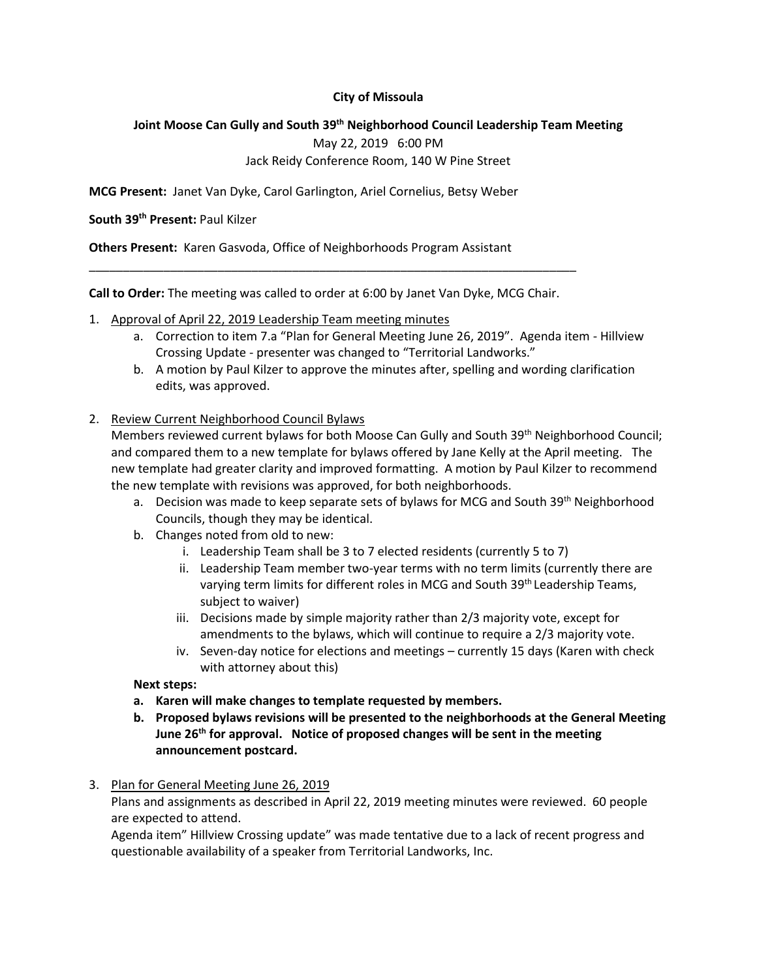## **City of Missoula**

#### **Joint Moose Can Gully and South 39th Neighborhood Council Leadership Team Meeting**

May 22, 2019 6:00 PM

## Jack Reidy Conference Room, 140 W Pine Street

**MCG Present:** Janet Van Dyke, Carol Garlington, Ariel Cornelius, Betsy Weber

#### **South 39th Present:** Paul Kilzer

**Others Present:** Karen Gasvoda, Office of Neighborhoods Program Assistant

**Call to Order:** The meeting was called to order at 6:00 by Janet Van Dyke, MCG Chair.

\_\_\_\_\_\_\_\_\_\_\_\_\_\_\_\_\_\_\_\_\_\_\_\_\_\_\_\_\_\_\_\_\_\_\_\_\_\_\_\_\_\_\_\_\_\_\_\_\_\_\_\_\_\_\_\_\_\_\_\_\_\_\_\_\_\_\_\_\_\_\_\_

- 1. Approval of April 22, 2019 Leadership Team meeting minutes
	- a. Correction to item 7.a "Plan for General Meeting June 26, 2019". Agenda item Hillview Crossing Update - presenter was changed to "Territorial Landworks."
	- b. A motion by Paul Kilzer to approve the minutes after, spelling and wording clarification edits, was approved.

# 2. Review Current Neighborhood Council Bylaws

Members reviewed current bylaws for both Moose Can Gully and South 39th Neighborhood Council; and compared them to a new template for bylaws offered by Jane Kelly at the April meeting. The new template had greater clarity and improved formatting. A motion by Paul Kilzer to recommend the new template with revisions was approved, for both neighborhoods.

- a. Decision was made to keep separate sets of bylaws for MCG and South 39<sup>th</sup> Neighborhood Councils, though they may be identical.
- b. Changes noted from old to new:
	- i. Leadership Team shall be 3 to 7 elected residents (currently 5 to 7)
	- ii. Leadership Team member two-year terms with no term limits (currently there are varying term limits for different roles in MCG and South 39<sup>th</sup> Leadership Teams, subject to waiver)
	- iii. Decisions made by simple majority rather than 2/3 majority vote, except for amendments to the bylaws, which will continue to require a 2/3 majority vote.
	- iv. Seven-day notice for elections and meetings currently 15 days (Karen with check with attorney about this)

#### **Next steps:**

- **a. Karen will make changes to template requested by members.**
- **b. Proposed bylaws revisions will be presented to the neighborhoods at the General Meeting June 26th for approval. Notice of proposed changes will be sent in the meeting announcement postcard.**
- 3. Plan for General Meeting June 26, 2019

Plans and assignments as described in April 22, 2019 meeting minutes were reviewed. 60 people are expected to attend.

Agenda item" Hillview Crossing update" was made tentative due to a lack of recent progress and questionable availability of a speaker from Territorial Landworks, Inc.